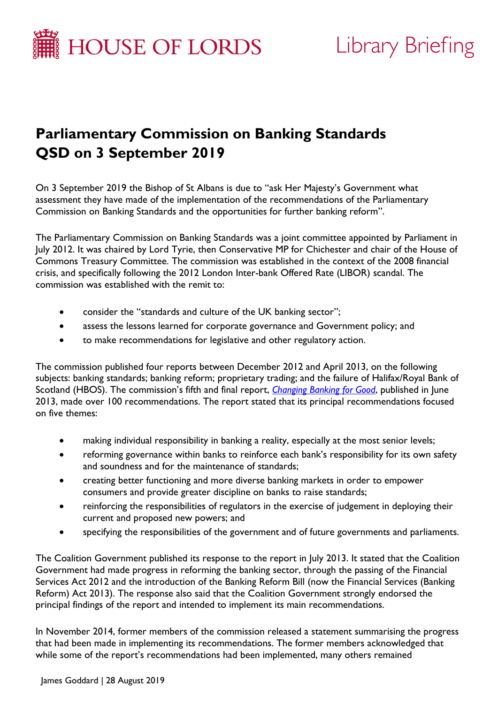

# Library Briefing

# **Parliamentary Commission on Banking Standards QSD on 3 September 2019**

On 3 September 2019 the Bishop of St Albans is due to "ask Her Majesty's Government what assessment they have made of the implementation of the recommendations of the Parliamentary Commission on Banking Standards and the opportunities for further banking reform".

The Parliamentary Commission on Banking Standards was a joint committee appointed by Parliament in July 2012. It was chaired by Lord Tyrie, then Conservative MP for Chichester and chair of the House of Commons Treasury Committee. The commission was established in the context of the 2008 financial crisis, and specifically following the 2012 London Inter-bank Offered Rate (LIBOR) scandal. The commission was established with the remit to:

- consider the "standards and culture of the UK banking sector";
- assess the lessons learned for corporate governance and Government policy; and
- to make recommendations for legislative and other regulatory action.

The commission published four reports between December 2012 and April 2013, on the following subjects: banking standards; banking reform; proprietary trading; and the failure of Halifax/Royal Bank of Scotland (HBOS). The commission's fifth and final report, *[Changing Banking for Good](https://publications.parliament.uk/pa/jt201314/jtselect/jtpcbs/27/27.pdf)*, published in June 2013, made over 100 recommendations. The report stated that its principal recommendations focused on five themes:

- making individual responsibility in banking a reality, especially at the most senior levels;
- reforming governance within banks to reinforce each bank's responsibility for its own safety and soundness and for the maintenance of standards;
- creating better functioning and more diverse banking markets in order to empower consumers and provide greater discipline on banks to raise standards;
- reinforcing the responsibilities of regulators in the exercise of judgement in deploying their current and proposed new powers; and
- specifying the responsibilities of the government and of future governments and parliaments.

The Coalition Government published its response to the report in July 2013. It stated that the Coalition Government had made progress in reforming the banking sector, through the passing of the Financial Services Act 2012 and the introduction of the Banking Reform Bill (now the Financial Services (Banking Reform) Act 2013). The response also said that the Coalition Government strongly endorsed the principal findings of the report and intended to implement its main recommendations.

In November 2014, former members of the commission released a statement summarising the progress that had been made in implementing its recommendations. The former members acknowledged that while some of the report's recommendations had been implemented, many others remained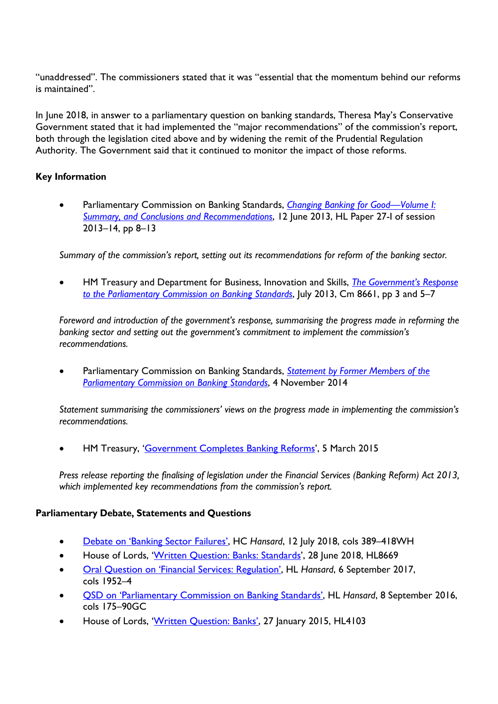"unaddressed". The commissioners stated that it was "essential that the momentum behind our reforms is maintained".

In June 2018, in answer to a parliamentary question on banking standards, Theresa May's Conservative Government stated that it had implemented the "major recommendations" of the commission's report, both through the legislation cited above and by widening the remit of the Prudential Regulation Authority. The Government said that it continued to monitor the impact of those reforms.

# **Key Information**

• Parliamentary Commission on Banking Standards, *[Changing Banking for Good—Volume I:](https://publications.parliament.uk/pa/jt201314/jtselect/jtpcbs/27/27.pdf)  [Summary, and Conclusions and Recommendations](https://publications.parliament.uk/pa/jt201314/jtselect/jtpcbs/27/27.pdf)*, 12 June 2013, HL Paper 27-I of session 2013–14, pp 8–13

*Summary of the commission's report, setting out its recommendations for reform of the banking sector.*

• HM Treasury and Department for Business, Innovation and Skills, *[The Government's Response](https://assets.publishing.service.gov.uk/government/uploads/system/uploads/attachment_data/file/211047/gov_response_to_the_parliamentary_commission_on_banking_standards.pdf)  [to the Parliamentary Commission on Banking Standards](https://assets.publishing.service.gov.uk/government/uploads/system/uploads/attachment_data/file/211047/gov_response_to_the_parliamentary_commission_on_banking_standards.pdf)*, July 2013, Cm 8661, pp 3 and 5–7

*Foreword and introduction of the government's response, summarising the progress made in reforming the banking sector and setting out the government's commitment to implement the commission's recommendations.*

• Parliamentary Commission on Banking Standards, *[Statement by Former Members of the](https://www.parliament.uk/documents/commons-committees/treasury/Statement_by_former_Members_of_PCBS.pdf)  [Parliamentary Commission on Banking Standards](https://www.parliament.uk/documents/commons-committees/treasury/Statement_by_former_Members_of_PCBS.pdf)*, 4 November 2014

*Statement summarising the commissioners' views on the progress made in implementing the commission's recommendations.*

• HM Treasury, ['Government Completes Banking Reforms'](https://www.gov.uk/government/news/government-completes-banking-reforms), 5 March 2015

*Press release reporting the finalising of legislation under the Financial Services (Banking Reform) Act 2013, which implemented key recommendations from the commission's report.*

#### **Parliamentary Debate, Statements and Questions**

- [Debate on 'Banking Sector Failures',](https://hansard.parliament.uk/Commons/2018-07-12/debates/EBD46A4F-CF2C-477F-AF6B-B77E05FAC9CF/BankingSectorFailures) HC *Hansard*, 12 July 2018, cols 389–418WH
- House of Lords, ['Written Question: Banks: Standards'](https://www.parliament.uk/written-questions-answers-statements/written-question/lords/2018-06-14/HL8669), 28 June 2018, HL8669
- [Oral Question on 'Financial Services: Regulation',](https://hansard.parliament.uk/Lords/2017-09-06/debates/AC3BAC34-668D-4387-9688-25216F9C54E8/FinancialServicesRegulation) HL *Hansard*, 6 September 2017, cols 1952–4
- [QSD on 'Parliamentary Commission on Banking Standards',](https://hansard.parliament.uk/Lords/2016-09-08/debates/AC0FD39D-4A7F-4A13-9C37-F5928F89E970/ParliamentaryCommissionOnBankingStandards) HL *Hansard*, 8 September 2016, cols 175–90GC
- House of Lords, ['Written Question: Banks',](https://www.parliament.uk/written-questions-answers-statements/written-question/lords/2015-01-13/HL4103) 27 January 2015, HL4103